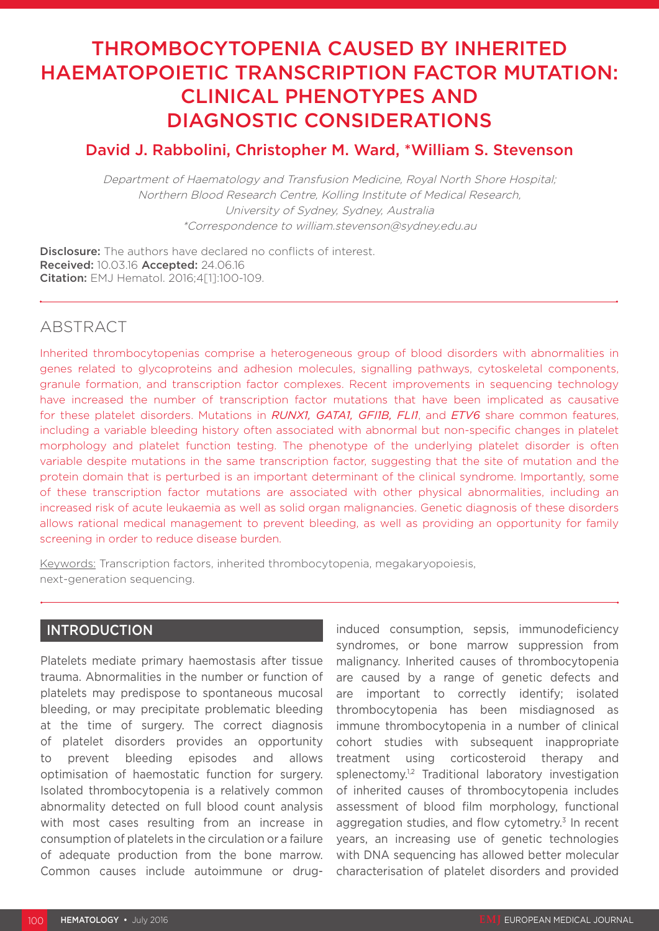# THROMBOCYTOPENIA CAUSED BY INHERITED HAEMATOPOIETIC TRANSCRIPTION FACTOR MUTATION: CLINICAL PHENOTYPES AND DIAGNOSTIC CONSIDERATIONS

## David J. Rabbolini, Christopher M. Ward, \*William S. Stevenson

Department of Haematology and Transfusion Medicine, Royal North Shore Hospital; Northern Blood Research Centre, Kolling Institute of Medical Research, University of Sydney, Sydney, Australia \*Correspondence to william.stevenson@sydney.edu.au

Disclosure: The authors have declared no conflicts of interest. Received: 10.03.16 Accepted: 24.06.16 Citation: EMJ Hematol. 2016;4[1]:100-109.

# ABSTRACT

Inherited thrombocytopenias comprise a heterogeneous group of blood disorders with abnormalities in genes related to glycoproteins and adhesion molecules, signalling pathways, cytoskeletal components, granule formation, and transcription factor complexes. Recent improvements in sequencing technology have increased the number of transcription factor mutations that have been implicated as causative for these platelet disorders. Mutations in *RUNX1, GATA1, GFI1B, FLI1*, and *ETV6* share common features, including a variable bleeding history often associated with abnormal but non-specific changes in platelet morphology and platelet function testing. The phenotype of the underlying platelet disorder is often variable despite mutations in the same transcription factor, suggesting that the site of mutation and the protein domain that is perturbed is an important determinant of the clinical syndrome. Importantly, some of these transcription factor mutations are associated with other physical abnormalities, including an increased risk of acute leukaemia as well as solid organ malignancies. Genetic diagnosis of these disorders allows rational medical management to prevent bleeding, as well as providing an opportunity for family screening in order to reduce disease burden.

Keywords: Transcription factors, inherited thrombocytopenia, megakaryopoiesis, next-generation sequencing.

# **INTRODUCTION**

Platelets mediate primary haemostasis after tissue trauma. Abnormalities in the number or function of platelets may predispose to spontaneous mucosal bleeding, or may precipitate problematic bleeding at the time of surgery. The correct diagnosis of platelet disorders provides an opportunity to prevent bleeding episodes and allows optimisation of haemostatic function for surgery. Isolated thrombocytopenia is a relatively common abnormality detected on full blood count analysis with most cases resulting from an increase in consumption of platelets in the circulation or a failure of adequate production from the bone marrow. Common causes include autoimmune or druginduced consumption, sepsis, immunodeficiency syndromes, or bone marrow suppression from malignancy. Inherited causes of thrombocytopenia are caused by a range of genetic defects and are important to correctly identify; isolated thrombocytopenia has been misdiagnosed as immune thrombocytopenia in a number of clinical cohort studies with subsequent inappropriate treatment using corticosteroid therapy and splenectomy.<sup>1,2</sup> Traditional laboratory investigation of inherited causes of thrombocytopenia includes assessment of blood film morphology, functional aggregation studies, and flow cytometry. $3$  In recent years, an increasing use of genetic technologies with DNA sequencing has allowed better molecular characterisation of platelet disorders and provided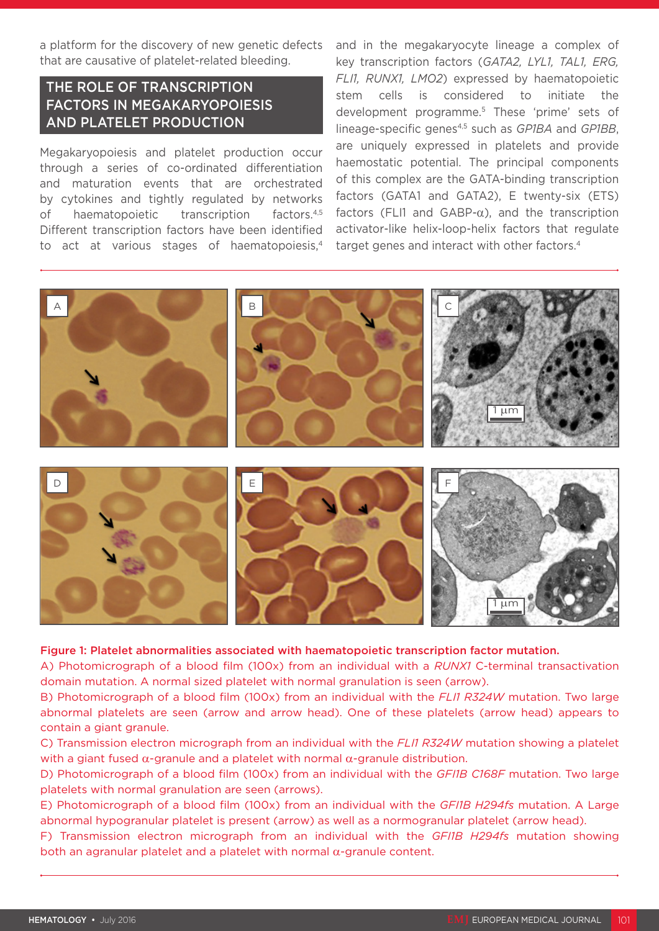a platform for the discovery of new genetic defects that are causative of platelet-related bleeding.

# THE ROLE OF TRANSCRIPTION FACTORS IN MEGAKARYOPOIESIS AND PLATELET PRODUCTION

Megakaryopoiesis and platelet production occur through a series of co-ordinated differentiation and maturation events that are orchestrated by cytokines and tightly regulated by networks of haematopoietic transcription factors.<sup>4,5</sup> Different transcription factors have been identified to act at various stages of haematopoiesis,<sup>4</sup>

and in the megakaryocyte lineage a complex of key transcription factors (*GATA2, LYL1, TAL1, ERG, FLI1, RUNX1, LMO2*) expressed by haematopoietic stem cells is considered to initiate the development programme.5 These 'prime' sets of lineage-specific genes4,5 such as *GP1BA* and *GP1BB*, are uniquely expressed in platelets and provide haemostatic potential. The principal components of this complex are the GATA-binding transcription factors (GATA1 and GATA2), E twenty-six (ETS) factors (FLI1 and GABP- $\alpha$ ), and the transcription activator-like helix-loop-helix factors that regulate target genes and interact with other factors.4



Figure 1: Platelet abnormalities associated with haematopoietic transcription factor mutation.

A) Photomicrograph of a blood film (100x) from an individual with a *RUNX1* C-terminal transactivation domain mutation. A normal sized platelet with normal granulation is seen (arrow).

B) Photomicrograph of a blood film (100x) from an individual with the *FLI1 R324W* mutation. Two large abnormal platelets are seen (arrow and arrow head). One of these platelets (arrow head) appears to contain a giant granule.

C) Transmission electron micrograph from an individual with the *FLI1 R324W* mutation showing a platelet with a giant fused  $\alpha$ -granule and a platelet with normal  $\alpha$ -granule distribution.

D) Photomicrograph of a blood film (100x) from an individual with the *GFI1B C168F* mutation. Two large platelets with normal granulation are seen (arrows).

E) Photomicrograph of a blood film (100x) from an individual with the *GFI1B H294fs* mutation. A Large abnormal hypogranular platelet is present (arrow) as well as a normogranular platelet (arrow head).

F) Transmission electron micrograph from an individual with the *GFI1B H294fs* mutation showing both an agranular platelet and a platelet with normal α-granule content.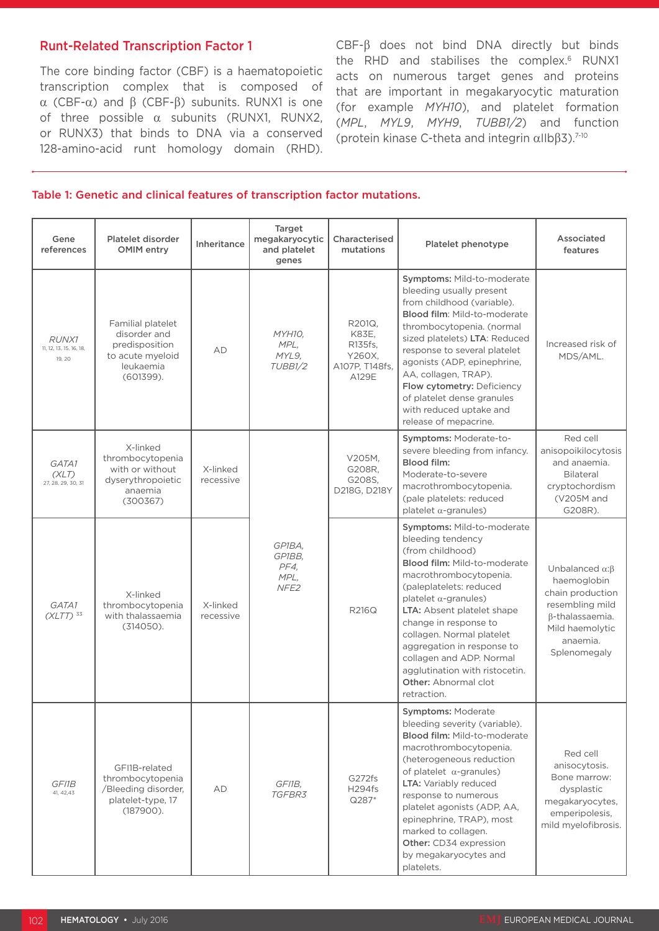## Runt-Related Transcription Factor 1

The core binding factor (CBF) is a haematopoietic transcription complex that is composed of α (CBF-α) and β (CBF-β) subunits. RUNX1 is one of three possible  $\alpha$  subunits (RUNX1, RUNX2, or RUNX3) that binds to DNA via a conserved 128-amino-acid runt homology domain (RHD). CBF-β does not bind DNA directly but binds the RHD and stabilises the complex.<sup>6</sup> RUNX1 acts on numerous target genes and proteins that are important in megakaryocytic maturation (for example *MYH10*), and platelet formation (*MPL*, *MYL9*, *MYH9*, *TUBB1/2*) and function (protein kinase C-theta and integrin αIIbβ3).7-10

#### Table 1: Genetic and clinical features of transcription factor mutations.

| Gene<br>references                                | Platelet disorder<br><b>OMIM</b> entry                                                               | Inheritance           | Target<br>megakaryocytic<br>and platelet<br>genes    | Characterised<br>mutations                                      | Platelet phenotype                                                                                                                                                                                                                                                                                                                                                                                                            | Associated<br>features                                                                                                                                |
|---------------------------------------------------|------------------------------------------------------------------------------------------------------|-----------------------|------------------------------------------------------|-----------------------------------------------------------------|-------------------------------------------------------------------------------------------------------------------------------------------------------------------------------------------------------------------------------------------------------------------------------------------------------------------------------------------------------------------------------------------------------------------------------|-------------------------------------------------------------------------------------------------------------------------------------------------------|
| <b>RUNX1</b><br>11, 12, 13, 15, 16, 18,<br>19, 20 | Familial platelet<br>disorder and<br>predisposition<br>to acute myeloid<br>leukaemia<br>$(601399)$ . | AD                    | MYH10,<br>MPL,<br>MYL9,<br>TUBB <sub>1/2</sub>       | R201Q.<br>K83E,<br>R135fs,<br>Y260X,<br>A107P, T148fs,<br>A129E | Symptoms: Mild-to-moderate<br>bleeding usually present<br>from childhood (variable).<br>Blood film: Mild-to-moderate<br>thrombocytopenia. (normal<br>sized platelets) LTA: Reduced<br>response to several platelet<br>agonists (ADP, epinephrine,<br>AA, collagen, TRAP).<br>Flow cytometry: Deficiency<br>of platelet dense granules<br>with reduced uptake and<br>release of mepacrine.                                     | Increased risk of<br>MDS/AML.                                                                                                                         |
| GATA1<br>(XLT)<br>27, 28, 29, 30, 31              | X-linked<br>thrombocytopenia<br>with or without<br>dyserythropoietic<br>anaemia<br>(300367)          | X-linked<br>recessive |                                                      | V205M,<br>G208R.<br>G208S,<br>D218G, D218Y                      | Symptoms: Moderate-to-<br>severe bleeding from infancy.<br>Blood film:<br>Moderate-to-severe<br>macrothrombocytopenia.<br>(pale platelets: reduced<br>platelet $\alpha$ -granules)                                                                                                                                                                                                                                            | Red cell<br>anisopoikilocytosis<br>and anaemia.<br>Bilateral<br>cryptochordism<br>(V205M and<br>G208R).                                               |
| GATA1<br>$(XLTT)$ <sup>33</sup>                   | X-linked<br>thrombocytopenia<br>with thalassaemia<br>(314050).                                       | X-linked<br>recessive | GP1BA.<br>GP1BB,<br>PF4.<br>MPL,<br>NFE <sub>2</sub> | <b>R216Q</b>                                                    | Symptoms: Mild-to-moderate<br>bleeding tendency<br>(from childhood)<br><b>Blood film: Mild-to-moderate</b><br>macrothrombocytopenia.<br>(paleplatelets: reduced<br>platelet $\alpha$ -granules)<br>LTA: Absent platelet shape<br>change in response to<br>collagen. Normal platelet<br>aggregation in response to<br>collagen and ADP. Normal<br>agglutination with ristocetin.<br><b>Other: Abnormal clot</b><br>retraction. | Unbalanced $\alpha$ : $\beta$<br>haemoglobin<br>chain production<br>resembling mild<br>β-thalassaemia.<br>Mild haemolytic<br>anaemia.<br>Splenomegaly |
| GFI1B<br>41, 42, 43                               | GFI1B-related<br>thrombocytopenia<br>/Bleeding disorder,<br>platelet-type, 17<br>$(187900)$ .        | AD                    | GFI1B,<br><i>TGFBR3</i>                              | G272fs<br>H294fs<br>Q287*                                       | Symptoms: Moderate<br>bleeding severity (variable).<br>Blood film: Mild-to-moderate<br>macrothrombocytopenia.<br>(heterogeneous reduction<br>of platelet $\alpha$ -granules)<br>LTA: Variably reduced<br>response to numerous<br>platelet agonists (ADP, AA,<br>epinephrine, TRAP), most<br>marked to collagen.<br>Other: CD34 expression<br>by megakaryocytes and<br>platelets.                                              | Red cell<br>anisocytosis.<br>Bone marrow:<br>dysplastic<br>megakaryocytes,<br>emperipolesis,<br>mild myelofibrosis.                                   |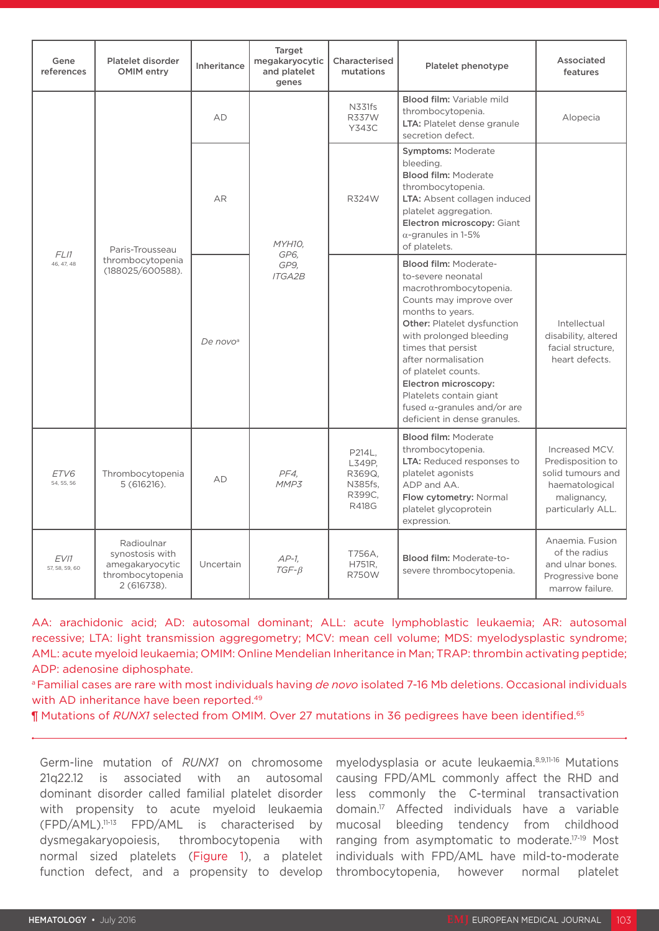| Gene<br>references     | Platelet disorder<br>OMIM entry                                                     | Inheritance          | Target<br>megakaryocytic<br>and platelet<br>genes | Characterised<br>mutations                                      | Platelet phenotype                                                                                                                                                                                                                                                                                                                                                                         | Associated<br>features                                                                                         |
|------------------------|-------------------------------------------------------------------------------------|----------------------|---------------------------------------------------|-----------------------------------------------------------------|--------------------------------------------------------------------------------------------------------------------------------------------------------------------------------------------------------------------------------------------------------------------------------------------------------------------------------------------------------------------------------------------|----------------------------------------------------------------------------------------------------------------|
| FLI1<br>46, 47, 48     | Paris-Trousseau<br>thrombocytopenia<br>(188025/600588).                             | AD                   | MYH10.<br>GP6.<br>GP9,<br><b>ITGA2B</b>           | N331fs<br><b>R337W</b><br>Y343C                                 | Blood film: Variable mild<br>thrombocytopenia.<br>LTA: Platelet dense granule<br>secretion defect.                                                                                                                                                                                                                                                                                         | Alopecia                                                                                                       |
|                        |                                                                                     | AR                   |                                                   | R324W                                                           | <b>Symptoms: Moderate</b><br>bleeding.<br><b>Blood film: Moderate</b><br>thrombocytopenia.<br>LTA: Absent collagen induced<br>platelet aggregation.<br>Electron microscopy: Giant<br>$\alpha$ -granules in 1-5%<br>of platelets.                                                                                                                                                           |                                                                                                                |
|                        |                                                                                     | De novo <sup>a</sup> |                                                   |                                                                 | <b>Blood film: Moderate-</b><br>to-severe neonatal<br>macrothrombocytopenia.<br>Counts may improve over<br>months to years.<br><b>Other: Platelet dysfunction</b><br>with prolonged bleeding<br>times that persist<br>after normalisation<br>of platelet counts.<br>Electron microscopy:<br>Platelets contain giant<br>fused $\alpha$ -granules and/or are<br>deficient in dense granules. | Intellectual<br>disability, altered<br>facial structure.<br>heart defects.                                     |
| ETV6<br>54, 55, 56     | Thrombocytopenia<br>$5(616216)$ .                                                   | AD                   | PF4,<br>MMP3                                      | P214L.<br>L349P,<br>R369Q,<br>N385fs,<br>R399C,<br><b>R418G</b> | <b>Blood film: Moderate</b><br>thrombocytopenia.<br>LTA: Reduced responses to<br>platelet agonists<br>ADP and AA.<br>Flow cytometry: Normal<br>platelet glycoprotein<br>expression.                                                                                                                                                                                                        | Increased MCV.<br>Predisposition to<br>solid tumours and<br>haematological<br>malignancy,<br>particularly ALL. |
| EV11<br>57, 58, 59, 60 | Radioulnar<br>synostosis with<br>amegakaryocytic<br>thrombocytopenia<br>2 (616738). | Uncertain            | $AP-1$<br>$TGF - \beta$                           | T756A.<br>H751R,<br><b>R750W</b>                                | Blood film: Moderate-to-<br>severe thrombocytopenia.                                                                                                                                                                                                                                                                                                                                       | Anaemia. Fusion<br>of the radius<br>and ulnar bones.<br>Progressive bone<br>marrow failure.                    |

AA: arachidonic acid; AD: autosomal dominant; ALL: acute lymphoblastic leukaemia; AR: autosomal recessive; LTA: light transmission aggregometry; MCV: mean cell volume; MDS: myelodysplastic syndrome; AML: acute myeloid leukaemia; OMIM: Online Mendelian Inheritance in Man; TRAP: thrombin activating peptide; ADP: adenosine diphosphate.

a Familial cases are rare with most individuals having *de novo* isolated 7-16 Mb deletions. Occasional individuals with AD inheritance have been reported.<sup>49</sup>

¶ Mutations of *RUNX1* selected from OMIM. Over 27 mutations in 36 pedigrees have been identified.65

Germ-line mutation of *RUNX1* on chromosome 21q22.12 is associated with an autosomal dominant disorder called familial platelet disorder with propensity to acute myeloid leukaemia  $(FPD/AML).^{11-13}$  FPD/AML is characterised by dysmegakaryopoiesis, thrombocytopenia with normal sized platelets (Figure 1), a platelet function defect, and a propensity to develop

myelodysplasia or acute leukaemia.8,9,11-16 Mutations causing FPD/AML commonly affect the RHD and less commonly the C-terminal transactivation domain.17 Affected individuals have a variable mucosal bleeding tendency from childhood ranging from asymptomatic to moderate.17-19 Most individuals with FPD/AML have mild-to-moderate thrombocytopenia, however normal platelet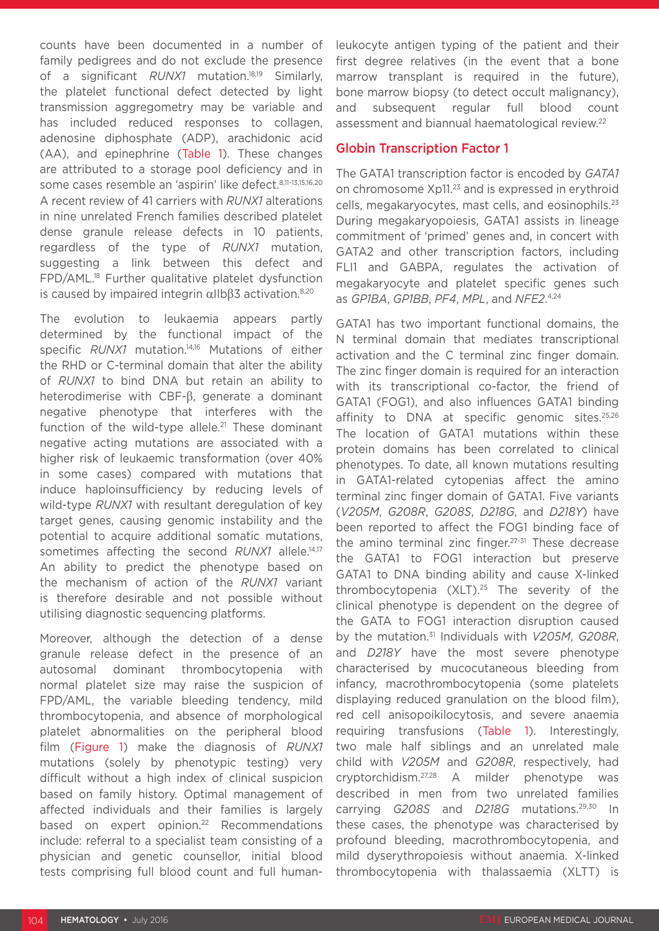counts have been documented in a number of family pedigrees and do not exclude the presence of a significant *RUNX1* mutation.18,19 Similarly, the platelet functional defect detected by light transmission aggregometry may be variable and has included reduced responses to collagen, adenosine diphosphate (ADP), arachidonic acid (AA), and epinephrine (Table 1). These changes are attributed to a storage pool deficiency and in some cases resemble an 'aspirin' like defect. 8,11-13,15,16,20 A recent review of 41 carriers with *RUNX1* alterations in nine unrelated French families described platelet dense granule release defects in 10 patients, regardless of the type of *RUNX1* mutation, suggesting a link between this defect and FPD/AML.18 Further qualitative platelet dysfunction is caused by impaired integrin  $αIlbβ3$  activation.<sup>8,20</sup>

The evolution to leukaemia appears partly determined by the functional impact of the specific *RUNX1* mutation.<sup>14,16</sup> Mutations of either the RHD or C-terminal domain that alter the ability of *RUNX1* to bind DNA but retain an ability to heterodimerise with CBF-β, generate a dominant negative phenotype that interferes with the function of the wild-type allele.<sup>21</sup> These dominant negative acting mutations are associated with a higher risk of leukaemic transformation (over 40% in some cases) compared with mutations that induce haploinsufficiency by reducing levels of wild-type *RUNX1* with resultant deregulation of key target genes, causing genomic instability and the potential to acquire additional somatic mutations, sometimes affecting the second *RUNX1* allele.<sup>14,17</sup> An ability to predict the phenotype based on the mechanism of action of the *RUNX1* variant is therefore desirable and not possible without utilising diagnostic sequencing platforms.

Moreover, although the detection of a dense granule release defect in the presence of an autosomal dominant thrombocytopenia with normal platelet size may raise the suspicion of FPD/AML, the variable bleeding tendency, mild thrombocytopenia, and absence of morphological platelet abnormalities on the peripheral blood film (Figure 1) make the diagnosis of *RUNX1* mutations (solely by phenotypic testing) very difficult without a high index of clinical suspicion based on family history. Optimal management of affected individuals and their families is largely based on expert opinion.<sup>22</sup> Recommendations include: referral to a specialist team consisting of a physician and genetic counsellor, initial blood tests comprising full blood count and full human-

leukocyte antigen typing of the patient and their first degree relatives (in the event that a bone marrow transplant is required in the future), bone marrow biopsy (to detect occult malignancy), and subsequent regular full blood count assessment and biannual haematological review.22

## Globin Transcription Factor 1

The GATA1 transcription factor is encoded by *GATA1* on chromosome Xp11.23 and is expressed in erythroid cells, megakaryocytes, mast cells, and eosinophils.23 During megakaryopoiesis, GATA1 assists in lineage commitment of 'primed' genes and, in concert with GATA2 and other transcription factors, including FLI1 and GABPA, regulates the activation of megakaryocyte and platelet specific genes such as *GP1BA*, *GP1BB*, *PF4*, *MPL*, and *NFE2*. 4,24

GATA1 has two important functional domains, the N terminal domain that mediates transcriptional activation and the C terminal zinc finger domain. The zinc finger domain is required for an interaction with its transcriptional co-factor, the friend of GATA1 (FOG1), and also influences GATA1 binding affinity to DNA at specific genomic sites.<sup>25,26</sup> The location of GATA1 mutations within these protein domains has been correlated to clinical phenotypes. To date, all known mutations resulting in GATA1-related cytopenias affect the amino terminal zinc finger domain of GATA1. Five variants (*V205M*, *G208R*, *G208S*, *D218G*, and *D218Y*) have been reported to affect the FOG1 binding face of the amino terminal zinc finger.27-31 These decrease the GATA1 to FOG1 interaction but preserve GATA1 to DNA binding ability and cause X-linked thrombocytopenia (XLT).25 The severity of the clinical phenotype is dependent on the degree of the GATA to FOG1 interaction disruption caused by the mutation.31 Individuals with *V205M*, *G208R*, and *D218Y* have the most severe phenotype characterised by mucocutaneous bleeding from infancy, macrothrombocytopenia (some platelets displaying reduced granulation on the blood film), red cell anisopoikilocytosis, and severe anaemia requiring transfusions (Table 1). Interestingly, two male half siblings and an unrelated male child with *V205M* and *G208R*, respectively, had cryptorchidism.27,28 A milder phenotype was described in men from two unrelated families carrying *G208S* and *D218G* mutations.29,30 In these cases, the phenotype was characterised by profound bleeding, macrothrombocytopenia, and mild dyserythropoiesis without anaemia. X-linked thrombocytopenia with thalassaemia (XLTT) is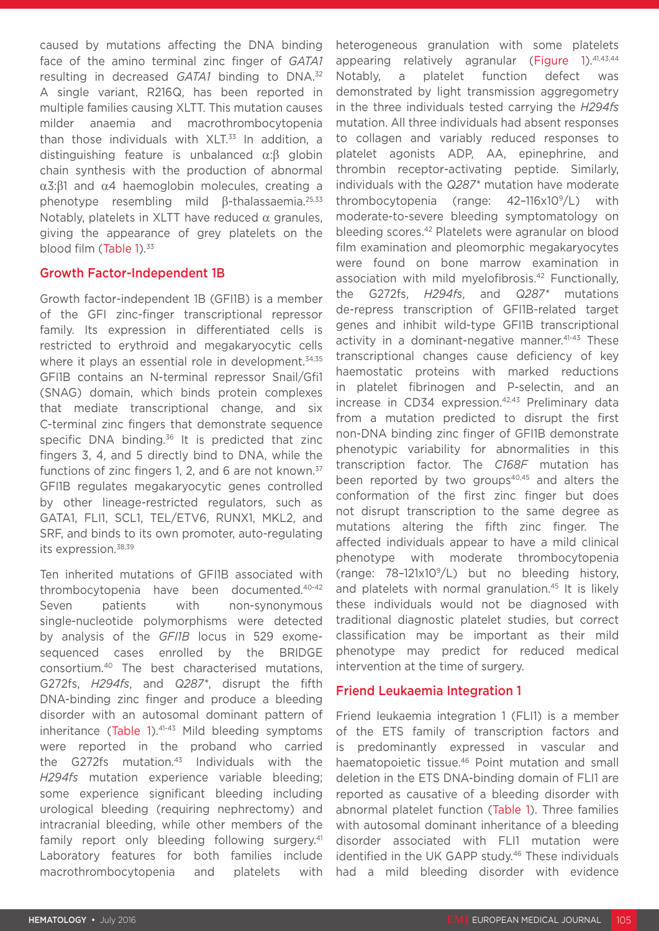caused by mutations affecting the DNA binding face of the amino terminal zinc finger of *GATA1*  resulting in decreased *GATA1* binding to DNA.32 A single variant, R216Q, has been reported in multiple families causing XLTT. This mutation causes milder anaemia and macrothrombocytopenia than those individuals with  $XLT<sup>33</sup>$  In addition, a distinguishing feature is unbalanced α:β globin chain synthesis with the production of abnormal α3:β1 and α4 haemoglobin molecules, creating a phenotype resembling mild β-thalassaemia.25,33 Notably, platelets in XLTT have reduced  $α$  granules, giving the appearance of grey platelets on the blood film (Table 1).<sup>33</sup>

#### Growth Factor-Independent 1B

Growth factor-independent 1B (GFI1B) is a member of the GFI zinc-finger transcriptional repressor family. Its expression in differentiated cells is restricted to erythroid and megakaryocytic cells where it plays an essential role in development.<sup>34,35</sup> GFI1B contains an N-terminal repressor Snail/Gfi1 (SNAG) domain, which binds protein complexes that mediate transcriptional change, and six C-terminal zinc fingers that demonstrate sequence specific DNA binding. $36$  It is predicted that zinc fingers 3, 4, and 5 directly bind to DNA, while the functions of zinc fingers 1, 2, and 6 are not known.<sup>37</sup> GFI1B regulates megakaryocytic genes controlled by other lineage-restricted regulators, such as GATA1, FLI1, SCL1, TEL/ETV6, RUNX1, MKL2, and SRF, and binds to its own promoter, auto-regulating its expression.38,39

Ten inherited mutations of GFI1B associated with thrombocytopenia have been documented.40-42 Seven patients with non-synonymous single-nucleotide polymorphisms were detected by analysis of the *GFI1B* locus in 529 exomesequenced cases enrolled by the BRIDGE consortium.40 The best characterised mutations, G272fs, *H294fs*, and *Q287\**, disrupt the fifth DNA-binding zinc finger and produce a bleeding disorder with an autosomal dominant pattern of inheritance (Table 1). $41-43$  Mild bleeding symptoms were reported in the proband who carried the G272fs mutation. $43$  Individuals with the *H294fs* mutation experience variable bleeding; some experience significant bleeding including urological bleeding (requiring nephrectomy) and intracranial bleeding, while other members of the family report only bleeding following surgery.<sup>41</sup> Laboratory features for both families include macrothrombocytopenia and platelets with

heterogeneous granulation with some platelets appearing relatively agranular (Figure 1). $41,43,44$ Notably, a platelet function defect was demonstrated by light transmission aggregometry in the three individuals tested carrying the *H294fs* mutation. All three individuals had absent responses to collagen and variably reduced responses to platelet agonists ADP, AA, epinephrine, and thrombin receptor-activating peptide. Similarly, individuals with the *Q287\** mutation have moderate thrombocytopenia (range: 42–116x109/L) with moderate-to-severe bleeding symptomatology on bleeding scores.42 Platelets were agranular on blood film examination and pleomorphic megakaryocytes were found on bone marrow examination in association with mild myelofibrosis.<sup>42</sup> Functionally, the G272fs, *H294fs*, and *Q287\** mutations de-repress transcription of GFI1B-related target genes and inhibit wild-type GFI1B transcriptional activity in a dominant-negative manner.<sup>41-43</sup> These transcriptional changes cause deficiency of key haemostatic proteins with marked reductions in platelet fibrinogen and P-selectin, and an increase in CD34 expression.<sup>42,43</sup> Preliminary data from a mutation predicted to disrupt the first non-DNA binding zinc finger of GFI1B demonstrate phenotypic variability for abnormalities in this transcription factor. The *C168F* mutation has been reported by two groups<sup>40,45</sup> and alters the conformation of the first zinc finger but does not disrupt transcription to the same degree as mutations altering the fifth zinc finger. The affected individuals appear to have a mild clinical phenotype with moderate thrombocytopenia (range:  $78-121\times10^{9}/L$ ) but no bleeding history, and platelets with normal granulation.<sup>45</sup> It is likely these individuals would not be diagnosed with traditional diagnostic platelet studies, but correct classification may be important as their mild phenotype may predict for reduced medical intervention at the time of surgery.

## Friend Leukaemia Integration 1

Friend leukaemia integration 1 (FLI1) is a member of the ETS family of transcription factors and is predominantly expressed in vascular and haematopoietic tissue.<sup>46</sup> Point mutation and small deletion in the ETS DNA-binding domain of FLI1 are reported as causative of a bleeding disorder with abnormal platelet function (Table 1). Three families with autosomal dominant inheritance of a bleeding disorder associated with FLI1 mutation were identified in the UK GAPP study.<sup>46</sup> These individuals had a mild bleeding disorder with evidence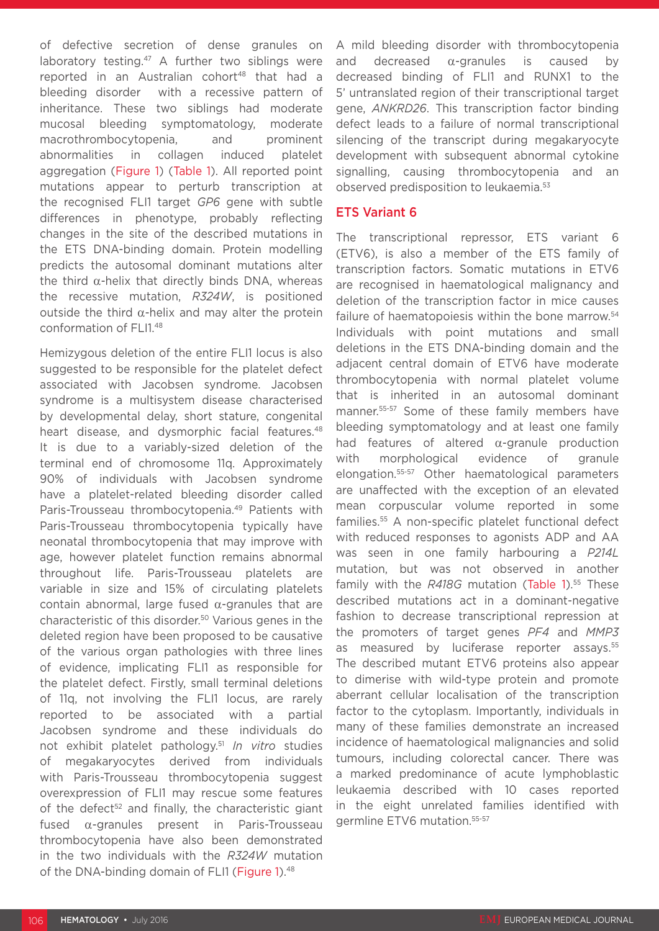of defective secretion of dense granules on laboratory testing.<sup>47</sup> A further two siblings were reported in an Australian cohort<sup>48</sup> that had a bleeding disorder with a recessive pattern of inheritance. These two siblings had moderate mucosal bleeding symptomatology, moderate macrothrombocytopenia, and prominent abnormalities in collagen induced platelet aggregation (Figure 1) (Table 1). All reported point mutations appear to perturb transcription at the recognised FLI1 target *GP6* gene with subtle differences in phenotype, probably reflecting changes in the site of the described mutations in the ETS DNA-binding domain. Protein modelling predicts the autosomal dominant mutations alter the third  $α$ -helix that directly binds DNA, whereas the recessive mutation, *R324W*, is positioned outside the third α-helix and may alter the protein conformation of FLI1.48

Hemizygous deletion of the entire FLI1 locus is also suggested to be responsible for the platelet defect associated with Jacobsen syndrome. Jacobsen syndrome is a multisystem disease characterised by developmental delay, short stature, congenital heart disease, and dysmorphic facial features.<sup>48</sup> It is due to a variably-sized deletion of the terminal end of chromosome 11q. Approximately 90% of individuals with Jacobsen syndrome have a platelet-related bleeding disorder called Paris-Trousseau thrombocytopenia.<sup>49</sup> Patients with Paris-Trousseau thrombocytopenia typically have neonatal thrombocytopenia that may improve with age, however platelet function remains abnormal throughout life. Paris-Trousseau platelets are variable in size and 15% of circulating platelets contain abnormal, large fused  $α$ -granules that are characteristic of this disorder.50 Various genes in the deleted region have been proposed to be causative of the various organ pathologies with three lines of evidence, implicating FLI1 as responsible for the platelet defect. Firstly, small terminal deletions of 11q, not involving the FLI1 locus, are rarely reported to be associated with a partial Jacobsen syndrome and these individuals do not exhibit platelet pathology.51 *In vitro* studies of megakaryocytes derived from individuals with Paris-Trousseau thrombocytopenia suggest overexpression of FLI1 may rescue some features of the defect<sup>52</sup> and finally, the characteristic giant fused α-granules present in Paris-Trousseau thrombocytopenia have also been demonstrated in the two individuals with the *R324W* mutation of the DNA-binding domain of FLI1 (Figure 1).<sup>48</sup>

A mild bleeding disorder with thrombocytopenia and decreased  $\alpha$ -granules is caused by decreased binding of FLI1 and RUNX1 to the 5' untranslated region of their transcriptional target gene, *ANKRD26*. This transcription factor binding defect leads to a failure of normal transcriptional silencing of the transcript during megakaryocyte development with subsequent abnormal cytokine signalling, causing thrombocytopenia and an observed predisposition to leukaemia.53

## ETS Variant 6

The transcriptional repressor, ETS variant 6 (ETV6), is also a member of the ETS family of transcription factors. Somatic mutations in ETV6 are recognised in haematological malignancy and deletion of the transcription factor in mice causes failure of haematopoiesis within the bone marrow.<sup>54</sup> Individuals with point mutations and small deletions in the ETS DNA-binding domain and the adjacent central domain of ETV6 have moderate thrombocytopenia with normal platelet volume that is inherited in an autosomal dominant manner.55-57 Some of these family members have bleeding symptomatology and at least one family had features of altered α-granule production with morphological evidence of granule elongation.55-57 Other haematological parameters are unaffected with the exception of an elevated mean corpuscular volume reported in some families.55 A non-specific platelet functional defect with reduced responses to agonists ADP and AA was seen in one family harbouring a *P214L* mutation, but was not observed in another family with the *R418G* mutation (Table 1).<sup>55</sup> These described mutations act in a dominant-negative fashion to decrease transcriptional repression at the promoters of target genes *PF4* and *MMP3* as measured by luciferase reporter assays.<sup>55</sup> The described mutant ETV6 proteins also appear to dimerise with wild-type protein and promote aberrant cellular localisation of the transcription factor to the cytoplasm. Importantly, individuals in many of these families demonstrate an increased incidence of haematological malignancies and solid tumours, including colorectal cancer. There was a marked predominance of acute lymphoblastic leukaemia described with 10 cases reported in the eight unrelated families identified with germline ETV6 mutation.55-57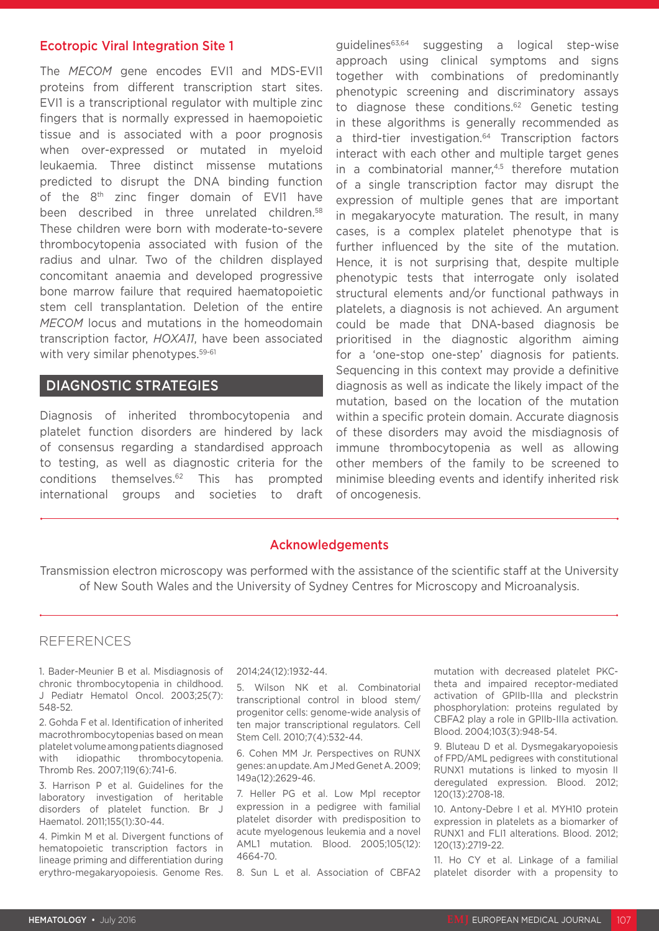#### Ecotropic Viral Integration Site 1

The *MECOM* gene encodes EVI1 and MDS-EVI1 proteins from different transcription start sites. EVI1 is a transcriptional regulator with multiple zinc fingers that is normally expressed in haemopoietic tissue and is associated with a poor prognosis when over-expressed or mutated in myeloid leukaemia. Three distinct missense mutations predicted to disrupt the DNA binding function of the 8<sup>th</sup> zinc finger domain of EVI1 have been described in three unrelated children.<sup>58</sup> These children were born with moderate-to-severe thrombocytopenia associated with fusion of the radius and ulnar. Two of the children displayed concomitant anaemia and developed progressive bone marrow failure that required haematopoietic stem cell transplantation. Deletion of the entire *MECOM* locus and mutations in the homeodomain transcription factor, *HOXA11*, have been associated with very similar phenotypes.<sup>59-61</sup>

### DIAGNOSTIC STRATEGIES

Diagnosis of inherited thrombocytopenia and platelet function disorders are hindered by lack of consensus regarding a standardised approach to testing, as well as diagnostic criteria for the conditions themselves.62 This has prompted international groups and societies to draft

guidelines<sup>63,64</sup> suggesting a logical step-wise approach using clinical symptoms and signs together with combinations of predominantly phenotypic screening and discriminatory assays to diagnose these conditions.<sup>62</sup> Genetic testing in these algorithms is generally recommended as a third-tier investigation.<sup>64</sup> Transcription factors interact with each other and multiple target genes in a combinatorial manner,<sup>4,5</sup> therefore mutation of a single transcription factor may disrupt the expression of multiple genes that are important in megakaryocyte maturation. The result, in many cases, is a complex platelet phenotype that is further influenced by the site of the mutation. Hence, it is not surprising that, despite multiple phenotypic tests that interrogate only isolated structural elements and/or functional pathways in platelets, a diagnosis is not achieved. An argument could be made that DNA-based diagnosis be prioritised in the diagnostic algorithm aiming for a 'one-stop one-step' diagnosis for patients. Sequencing in this context may provide a definitive diagnosis as well as indicate the likely impact of the mutation, based on the location of the mutation within a specific protein domain. Accurate diagnosis of these disorders may avoid the misdiagnosis of immune thrombocytopenia as well as allowing other members of the family to be screened to minimise bleeding events and identify inherited risk of oncogenesis.

#### Acknowledgements

Transmission electron microscopy was performed with the assistance of the scientific staff at the University of New South Wales and the University of Sydney Centres for Microscopy and Microanalysis.

#### REFERENCES

1. Bader-Meunier B et al. Misdiagnosis of chronic thrombocytopenia in childhood. J Pediatr Hematol Oncol. 2003;25(7): 548-52.

2. Gohda F et al. Identification of inherited macrothrombocytopenias based on mean platelet volume among patients diagnosed with idiopathic thrombocytopenia. Thromb Res. 2007;119(6):741-6.

3. Harrison P et al. Guidelines for the laboratory investigation of heritable disorders of platelet function. Br J Haematol. 2011;155(1):30-44.

4. Pimkin M et al. Divergent functions of hematopoietic transcription factors in lineage priming and differentiation during erythro-megakaryopoiesis. Genome Res. 2014;24(12):1932-44.

5. Wilson NK et al. Combinatorial transcriptional control in blood stem/ progenitor cells: genome-wide analysis of ten major transcriptional regulators. Cell Stem Cell. 2010;7(4):532-44.

6. Cohen MM Jr. Perspectives on RUNX genes: an update. Am J Med Genet A. 2009; 149a(12):2629-46.

7. Heller PG et al. Low Mpl receptor expression in a pedigree with familial platelet disorder with predisposition to acute myelogenous leukemia and a novel AML1 mutation. Blood. 2005;105(12): 4664-70.

8. Sun L et al. Association of CBFA2

mutation with decreased platelet PKCtheta and impaired receptor-mediated activation of GPIIb-IIIa and pleckstrin phosphorylation: proteins regulated by CBFA2 play a role in GPIIb-IIIa activation. Blood. 2004;103(3):948-54.

9. Bluteau D et al. Dysmegakaryopoiesis of FPD/AML pedigrees with constitutional RUNX1 mutations is linked to myosin II deregulated expression. Blood. 2012; 120(13):2708-18.

10. Antony-Debre I et al. MYH10 protein expression in platelets as a biomarker of RUNX1 and FLI1 alterations. Blood. 2012; 120(13):2719-22.

11. Ho CY et al. Linkage of a familial platelet disorder with a propensity to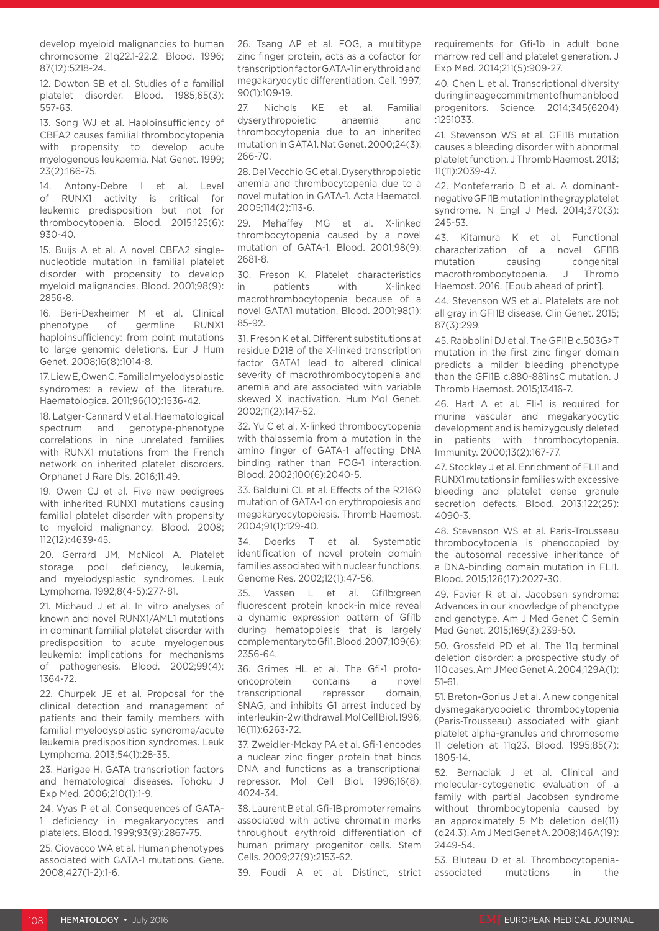develop myeloid malignancies to human chromosome 21q22.1-22.2. Blood. 1996; 87(12):5218-24.

12. Dowton SB et al. Studies of a familial platelet disorder. Blood. 1985;65(3): 557-63.

13. Song WJ et al. Haploinsufficiency of CBFA2 causes familial thrombocytopenia with propensity to develop acute myelogenous leukaemia. Nat Genet. 1999; 23(2):166-75.

14. Antony-Debre I et al. Level of RUNX1 activity is critical for leukemic predisposition but not for thrombocytopenia. Blood. 2015;125(6): 930-40.

15. Buijs A et al. A novel CBFA2 singlenucleotide mutation in familial platelet disorder with propensity to develop myeloid malignancies. Blood. 2001;98(9): 2856-8.

16. Beri-Dexheimer M et al. Clinical phenotype of germline RUNX1 haploinsufficiency: from point mutations to large genomic deletions. Eur J Hum Genet. 2008;16(8):1014-8.

17. Liew E, Owen C. Familial myelodysplastic syndromes: a review of the literature. Haematologica. 2011;96(10):1536-42.

18. Latger-Cannard V et al. Haematological spectrum and genotype-phenotype correlations in nine unrelated families with RUNX1 mutations from the French network on inherited platelet disorders. Orphanet J Rare Dis. 2016;11:49.

19. Owen CJ et al. Five new pedigrees with inherited RUNX1 mutations causing familial platelet disorder with propensity to myeloid malignancy. Blood. 2008; 112(12):4639-45.

20. Gerrard JM, McNicol A. Platelet storage pool deficiency, leukemia, and myelodysplastic syndromes. Leuk Lymphoma. 1992;8(4-5):277-81.

21. Michaud J et al. In vitro analyses of known and novel RUNX1/AML1 mutations in dominant familial platelet disorder with predisposition to acute myelogenous leukemia: implications for mechanisms of pathogenesis. Blood. 2002;99(4): 1364-72.

22. Churpek JE et al. Proposal for the clinical detection and management of patients and their family members with familial myelodysplastic syndrome/acute leukemia predisposition syndromes. Leuk Lymphoma. 2013;54(1):28-35.

23. Harigae H. GATA transcription factors and hematological diseases. Tohoku J Exp Med. 2006;210(1):1-9.

24. Vyas P et al. Consequences of GATA-1 deficiency in megakaryocytes and platelets. Blood. 1999;93(9):2867-75.

25. Ciovacco WA et al. Human phenotypes associated with GATA-1 mutations. Gene. 2008;427(1-2):1-6.

26. Tsang AP et al. FOG, a multitype zinc finger protein, acts as a cofactor for transcription factor GATA-1 in erythroid and megakaryocytic differentiation. Cell. 1997; 90(1):109-19.

27. Nichols KE et al. Familial dyserythropoietic anaemia and thrombocytopenia due to an inherited mutation in GATA1. Nat Genet. 2000;24(3): 266-70.

28. Del Vecchio GC et al. Dyserythropoietic anemia and thrombocytopenia due to a novel mutation in GATA-1. Acta Haematol. 2005;114(2):113-6.

29. Mehaffey MG et al. X-linked thrombocytopenia caused by a novel mutation of GATA-1. Blood. 2001;98(9): 2681-8.

30. Freson K. Platelet characteristics in patients with X-linked macrothrombocytopenia because of a novel GATA1 mutation. Blood. 2001;98(1): 85-92.

31. Freson K et al. Different substitutions at residue D218 of the X-linked transcription factor GATA1 lead to altered clinical severity of macrothrombocytopenia and anemia and are associated with variable skewed X inactivation. Hum Mol Genet. 2002;11(2):147-52.

32. Yu C et al. X-linked thrombocytopenia with thalassemia from a mutation in the amino finger of GATA-1 affecting DNA binding rather than FOG-1 interaction. Blood. 2002;100(6):2040-5.

33. Balduini CL et al. Effects of the R216Q mutation of GATA-1 on erythropoiesis and megakaryocytopoiesis. Thromb Haemost. 2004;91(1):129-40.

34. Doerks T et al. Systematic identification of novel protein domain families associated with nuclear functions. Genome Res. 2002;12(1):47-56.

35. Vassen L et al. Gfi1b:green fluorescent protein knock-in mice reveal a dynamic expression pattern of Gfi1b during hematopoiesis that is largely complementary to Gfi1. Blood. 2007;109(6): 2356-64.

36. Grimes HL et al. The Gfi-1 protooncoprotein contains a novel transcriptional repressor domain, SNAG, and inhibits G1 arrest induced by interleukin-2 withdrawal. Mol Cell Biol. 1996; 16(11):6263-72.

37. Zweidler-Mckay PA et al. Gfi-1 encodes a nuclear zinc finger protein that binds DNA and functions as a transcriptional repressor. Mol Cell Biol. 1996;16(8): 4024-34.

38. Laurent B et al. Gfi-1B promoter remains associated with active chromatin marks throughout erythroid differentiation of human primary progenitor cells. Stem Cells. 2009;27(9):2153-62.

39. Foudi A et al. Distinct, strict

requirements for Gfi-1b in adult bone marrow red cell and platelet generation. J Exp Med. 2014;211(5):909-27.

40. Chen L et al. Transcriptional diversity during lineage commitment of human blood progenitors. Science. 2014;345(6204) :1251033.

41. Stevenson WS et al. GFI1B mutation causes a bleeding disorder with abnormal platelet function. J Thromb Haemost. 2013; 11(11):2039-47.

42. Monteferrario D et al. A dominantnegative GFI1B mutation in the gray platelet syndrome. N Engl J Med. 2014;370(3): 245-53.

43. Kitamura K et al. Functional characterization of a novel GFI1B mutation causing congenital macrothrombocytopenia. J Thromb Haemost. 2016. [Epub ahead of print].

44. Stevenson WS et al. Platelets are not all gray in GFI1B disease. Clin Genet. 2015; 87(3):299.

45. Rabbolini DJ et al. The GFI1B c.503G>T mutation in the first zinc finger domain predicts a milder bleeding phenotype than the GFI1B c.880-881insC mutation. J Thromb Haemost. 2015;13416-7.

46. Hart A et al. Fli-1 is required for murine vascular and megakaryocytic development and is hemizygously deleted in patients with thrombocytopenia. Immunity. 2000;13(2):167-77.

47. Stockley J et al. Enrichment of FLI1 and RUNX1 mutations in families with excessive bleeding and platelet dense granule secretion defects. Blood. 2013;122(25): 4090-3.

48. Stevenson WS et al. Paris-Trousseau thrombocytopenia is phenocopied by the autosomal recessive inheritance of a DNA-binding domain mutation in FLI1. Blood. 2015;126(17):2027-30.

49. Favier R et al. Jacobsen syndrome: Advances in our knowledge of phenotype and genotype. Am J Med Genet C Semin Med Genet. 2015;169(3):239-50.

50. Grossfeld PD et al. The 11q terminal deletion disorder: a prospective study of 110 cases. Am J Med Genet A. 2004;129A(1): 51-61.

51. Breton-Gorius J et al. A new congenital dysmegakaryopoietic thrombocytopenia (Paris-Trousseau) associated with giant platelet alpha-granules and chromosome 11 deletion at 11q23. Blood. 1995;85(7): 1805-14.

52. Bernaciak J et al. Clinical and molecular-cytogenetic evaluation of a family with partial Jacobsen syndrome without thrombocytopenia caused by an approximately 5 Mb deletion del(11) (q24.3). Am J Med Genet A. 2008;146A(19): 2449-54.

53. Bluteau D et al. Thrombocytopeniaassociated mutations in the